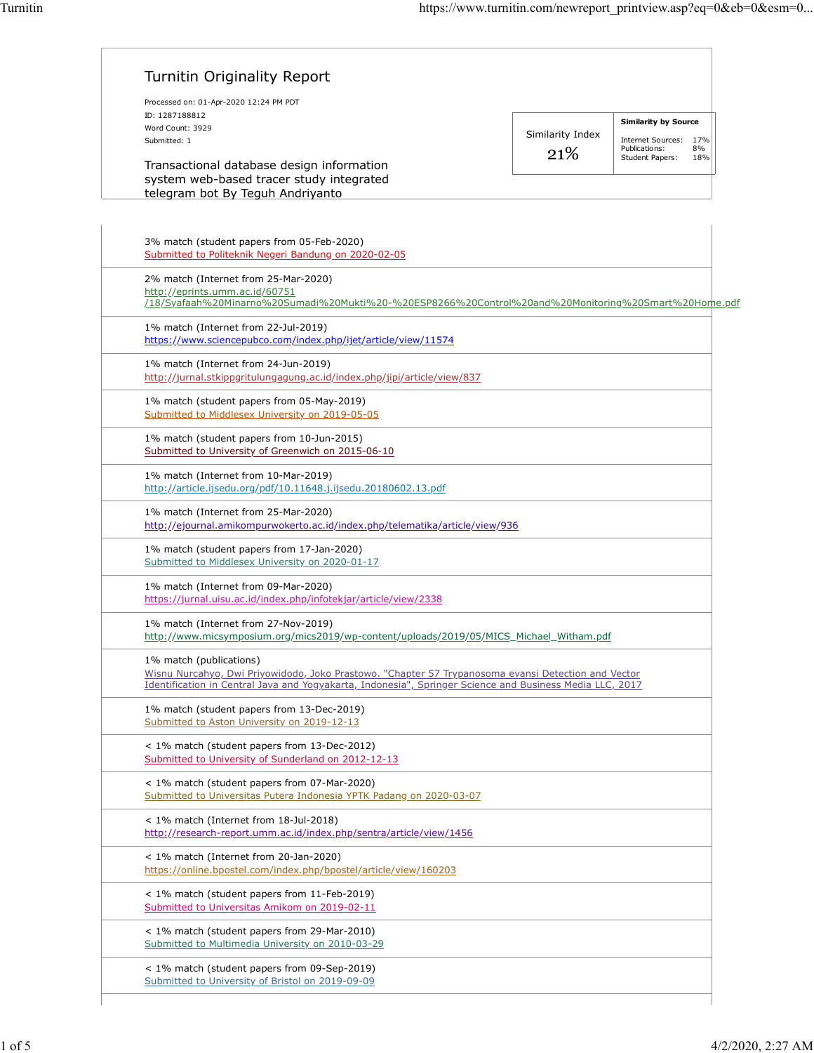| Processed on: 01-Apr-2020 12:24 PM PDT<br>ID: 1287188812                                                                                                                                                                                   |                  |                                               |
|--------------------------------------------------------------------------------------------------------------------------------------------------------------------------------------------------------------------------------------------|------------------|-----------------------------------------------|
| Word Count: 3929                                                                                                                                                                                                                           |                  | <b>Similarity by Source</b>                   |
| Submitted: 1                                                                                                                                                                                                                               | Similarity Index | Internet Sources: 17%                         |
| Transactional database design information<br>system web-based tracer study integrated                                                                                                                                                      | 21\%             | Publications:<br>8%<br>Student Papers:<br>18% |
| telegram bot By Teguh Andriyanto                                                                                                                                                                                                           |                  |                                               |
|                                                                                                                                                                                                                                            |                  |                                               |
| 3% match (student papers from 05-Feb-2020)<br>Submitted to Politeknik Negeri Bandung on 2020-02-05                                                                                                                                         |                  |                                               |
| 2% match (Internet from 25-Mar-2020)<br>http://eprints.umm.ac.id/60751<br>/18/Syafaah%20Minarno%20Sumadi%20Mukti%20-%20ESP8266%20Control%20and%20Monitoring%20Smart%20Home.pdf                                                             |                  |                                               |
| 1% match (Internet from 22-Jul-2019)<br>https://www.sciencepubco.com/index.php/ijet/article/view/11574                                                                                                                                     |                  |                                               |
| 1% match (Internet from 24-Jun-2019)<br>http://jurnal.stkippgritulungagung.ac.id/index.php/jipi/article/view/837                                                                                                                           |                  |                                               |
| 1% match (student papers from 05-May-2019)<br>Submitted to Middlesex University on 2019-05-05                                                                                                                                              |                  |                                               |
| 1% match (student papers from 10-Jun-2015)<br>Submitted to University of Greenwich on 2015-06-10                                                                                                                                           |                  |                                               |
| 1% match (Internet from 10-Mar-2019)<br>http://article.ijsedu.org/pdf/10.11648.j.ijsedu.20180602.13.pdf                                                                                                                                    |                  |                                               |
| 1% match (Internet from 25-Mar-2020)<br>http://ejournal.amikompurwokerto.ac.id/index.php/telematika/article/view/936                                                                                                                       |                  |                                               |
| 1% match (student papers from 17-Jan-2020)<br>Submitted to Middlesex University on 2020-01-17                                                                                                                                              |                  |                                               |
| 1% match (Internet from 09-Mar-2020)<br>https://jurnal.uisu.ac.id/index.php/infotekjar/article/view/2338                                                                                                                                   |                  |                                               |
| 1% match (Internet from 27-Nov-2019)<br>http://www.micsymposium.org/mics2019/wp-content/uploads/2019/05/MICS Michael Witham.pdf                                                                                                            |                  |                                               |
| 1% match (publications)<br>Wisnu Nurcahyo, Dwi Priyowidodo, Joko Prastowo. "Chapter 57 Trypanosoma evansi Detection and Vector<br>Identification in Central Java and Yogyakarta, Indonesia", Springer Science and Business Media LLC, 2017 |                  |                                               |
| 1% match (student papers from 13-Dec-2019)<br>Submitted to Aston University on 2019-12-13                                                                                                                                                  |                  |                                               |
| < 1% match (student papers from 13-Dec-2012)<br>Submitted to University of Sunderland on 2012-12-13                                                                                                                                        |                  |                                               |
| < 1% match (student papers from 07-Mar-2020)<br>Submitted to Universitas Putera Indonesia YPTK Padang on 2020-03-07                                                                                                                        |                  |                                               |
| < 1% match (Internet from 18-Jul-2018)<br>http://research-report.umm.ac.id/index.php/sentra/article/view/1456                                                                                                                              |                  |                                               |
| < 1% match (Internet from 20-Jan-2020)<br>https://online.bpostel.com/index.php/bpostel/article/view/160203                                                                                                                                 |                  |                                               |
| < 1% match (student papers from 11-Feb-2019)<br>Submitted to Universitas Amikom on 2019-02-11                                                                                                                                              |                  |                                               |
| < 1% match (student papers from 29-Mar-2010)<br>Submitted to Multimedia University on 2010-03-29                                                                                                                                           |                  |                                               |
| < 1% match (student papers from 09-Sep-2019)<br>Submitted to University of Bristol on 2019-09-09                                                                                                                                           |                  |                                               |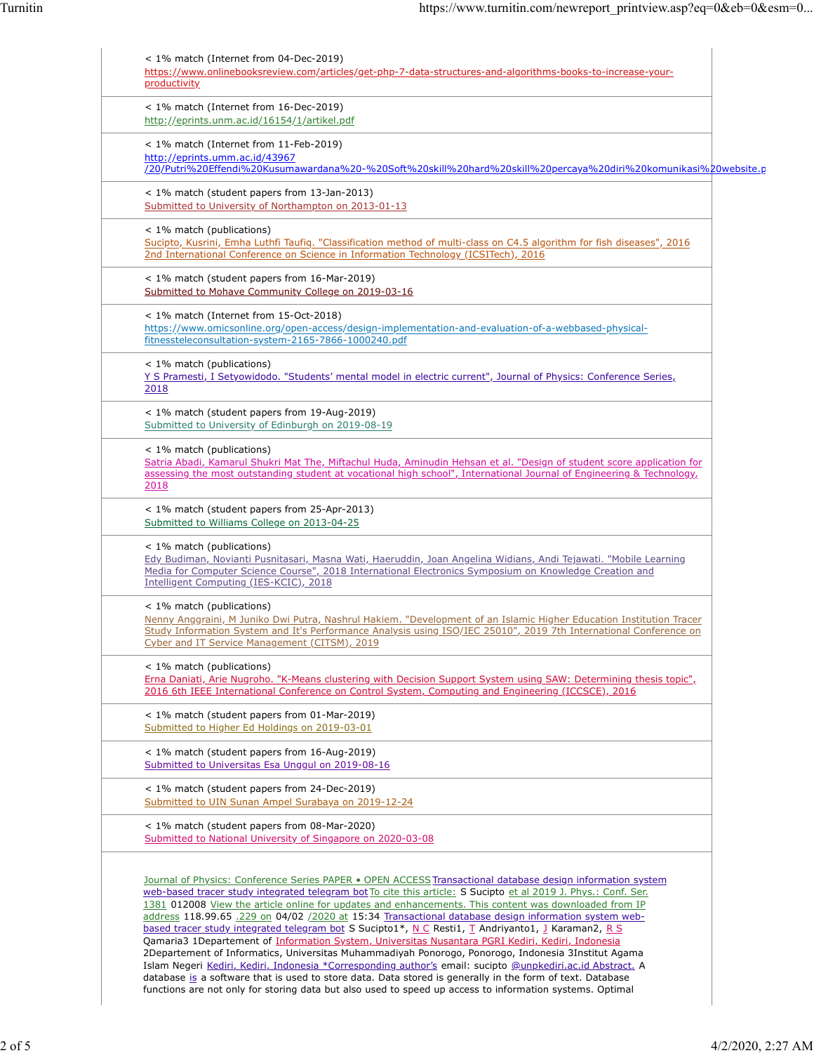| < 1% match (Internet from 04-Dec-2019)<br>https://www.onlinebooksreview.com/articles/get-php-7-data-structures-and-algorithms-books-to-increase-your-<br>productivity                                                                                                                                                                                                                                                                                                                                                                                                                                                                                                                                                                                                                                                                                                                                                                                                                                                                                                                                  |  |
|--------------------------------------------------------------------------------------------------------------------------------------------------------------------------------------------------------------------------------------------------------------------------------------------------------------------------------------------------------------------------------------------------------------------------------------------------------------------------------------------------------------------------------------------------------------------------------------------------------------------------------------------------------------------------------------------------------------------------------------------------------------------------------------------------------------------------------------------------------------------------------------------------------------------------------------------------------------------------------------------------------------------------------------------------------------------------------------------------------|--|
| < 1% match (Internet from 16-Dec-2019)<br>http://eprints.unm.ac.id/16154/1/artikel.pdf                                                                                                                                                                                                                                                                                                                                                                                                                                                                                                                                                                                                                                                                                                                                                                                                                                                                                                                                                                                                                 |  |
| < 1% match (Internet from 11-Feb-2019)<br>http://eprints.umm.ac.id/43967<br>/20/Putri%20Effendi%20Kusumawardana%20-%20Soft%20skill%20hard%20skill%20percaya%20diri%20komunikasi%20website.p                                                                                                                                                                                                                                                                                                                                                                                                                                                                                                                                                                                                                                                                                                                                                                                                                                                                                                            |  |
| < 1% match (student papers from 13-Jan-2013)<br>Submitted to University of Northampton on 2013-01-13                                                                                                                                                                                                                                                                                                                                                                                                                                                                                                                                                                                                                                                                                                                                                                                                                                                                                                                                                                                                   |  |
| < 1% match (publications)<br>Sucipto, Kusrini, Emha Luthfi Taufiq. "Classification method of multi-class on C4.5 algorithm for fish diseases", 2016<br>2nd International Conference on Science in Information Technology (ICSITech), 2016                                                                                                                                                                                                                                                                                                                                                                                                                                                                                                                                                                                                                                                                                                                                                                                                                                                              |  |
| < 1% match (student papers from 16-Mar-2019)<br>Submitted to Mohave Community College on 2019-03-16                                                                                                                                                                                                                                                                                                                                                                                                                                                                                                                                                                                                                                                                                                                                                                                                                                                                                                                                                                                                    |  |
| $<$ 1% match (Internet from 15-Oct-2018)<br>https://www.omicsonline.org/open-access/design-implementation-and-evaluation-of-a-webbased-physical-<br>fitnessteleconsultation-system-2165-7866-1000240.pdf                                                                                                                                                                                                                                                                                                                                                                                                                                                                                                                                                                                                                                                                                                                                                                                                                                                                                               |  |
| < 1% match (publications)<br>Y S Pramesti, I Setyowidodo. "Students' mental model in electric current", Journal of Physics: Conference Series,<br>2018                                                                                                                                                                                                                                                                                                                                                                                                                                                                                                                                                                                                                                                                                                                                                                                                                                                                                                                                                 |  |
| < 1% match (student papers from 19-Aug-2019)<br>Submitted to University of Edinburgh on 2019-08-19                                                                                                                                                                                                                                                                                                                                                                                                                                                                                                                                                                                                                                                                                                                                                                                                                                                                                                                                                                                                     |  |
| < 1% match (publications)<br>Satria Abadi, Kamarul Shukri Mat The, Miftachul Huda, Aminudin Hehsan et al. "Design of student score application for<br>assessing the most outstanding student at vocational high school", International Journal of Engineering & Technology,<br>2018                                                                                                                                                                                                                                                                                                                                                                                                                                                                                                                                                                                                                                                                                                                                                                                                                    |  |
| < 1% match (student papers from 25-Apr-2013)<br>Submitted to Williams College on 2013-04-25                                                                                                                                                                                                                                                                                                                                                                                                                                                                                                                                                                                                                                                                                                                                                                                                                                                                                                                                                                                                            |  |
| < 1% match (publications)<br>Edy Budiman, Novianti Pusnitasari, Masna Wati, Haeruddin, Joan Angelina Widians, Andi Tejawati. "Mobile Learning<br>Media for Computer Science Course", 2018 International Electronics Symposium on Knowledge Creation and<br>Intelligent Computing (IES-KCIC), 2018                                                                                                                                                                                                                                                                                                                                                                                                                                                                                                                                                                                                                                                                                                                                                                                                      |  |
| < 1% match (publications)<br>Nenny Anggraini, M Juniko Dwi Putra, Nashrul Hakiem. "Development of an Islamic Higher Education Institution Tracer<br>Study Information System and It's Performance Analysis using ISO/IEC 25010", 2019 7th International Conference on<br>Cyber and IT Service Management (CITSM), 2019                                                                                                                                                                                                                                                                                                                                                                                                                                                                                                                                                                                                                                                                                                                                                                                 |  |
| $<$ 1% match (publications)<br>Erna Daniati, Arie Nugroho. "K-Means clustering with Decision Support System using SAW: Determining thesis topic",<br>2016 6th IEEE International Conference on Control System, Computing and Engineering (ICCSCE), 2016                                                                                                                                                                                                                                                                                                                                                                                                                                                                                                                                                                                                                                                                                                                                                                                                                                                |  |
| < 1% match (student papers from 01-Mar-2019)<br>Submitted to Higher Ed Holdings on 2019-03-01                                                                                                                                                                                                                                                                                                                                                                                                                                                                                                                                                                                                                                                                                                                                                                                                                                                                                                                                                                                                          |  |
| < 1% match (student papers from 16-Aug-2019)<br>Submitted to Universitas Esa Unggul on 2019-08-16                                                                                                                                                                                                                                                                                                                                                                                                                                                                                                                                                                                                                                                                                                                                                                                                                                                                                                                                                                                                      |  |
| < 1% match (student papers from 24-Dec-2019)<br>Submitted to UIN Sunan Ampel Surabaya on 2019-12-24                                                                                                                                                                                                                                                                                                                                                                                                                                                                                                                                                                                                                                                                                                                                                                                                                                                                                                                                                                                                    |  |
| < 1% match (student papers from 08-Mar-2020)<br>Submitted to National University of Singapore on 2020-03-08                                                                                                                                                                                                                                                                                                                                                                                                                                                                                                                                                                                                                                                                                                                                                                                                                                                                                                                                                                                            |  |
| Journal of Physics: Conference Series PAPER . OPEN ACCESS Transactional database design information system<br>web-based tracer study integrated telegram bot To cite this article: S Sucipto et al 2019 J. Phys.: Conf. Ser.<br>1381 012008 View the article online for updates and enhancements. This content was downloaded from IP<br>address 118.99.65. 229 on 04/02 /2020 at 15:34 Transactional database design information system web-<br>based tracer study integrated telegram bot S Sucipto1*, N C Resti1, T Andriyanto1, J Karaman2, R S<br>Qamaria3 1Departement of Information System, Universitas Nusantara PGRI Kediri, Kediri, Indonesia<br>2Departement of Informatics, Universitas Muhammadiyah Ponorogo, Ponorogo, Indonesia 3Institut Agama<br>Islam Negeri Kediri, Kediri, Indonesia *Corresponding author's email: sucipto @unpkediri.ac.id Abstract. A<br>database is a software that is used to store data. Data stored is generally in the form of text. Database<br>functions are not only for storing data but also used to speed up access to information systems. Optimal |  |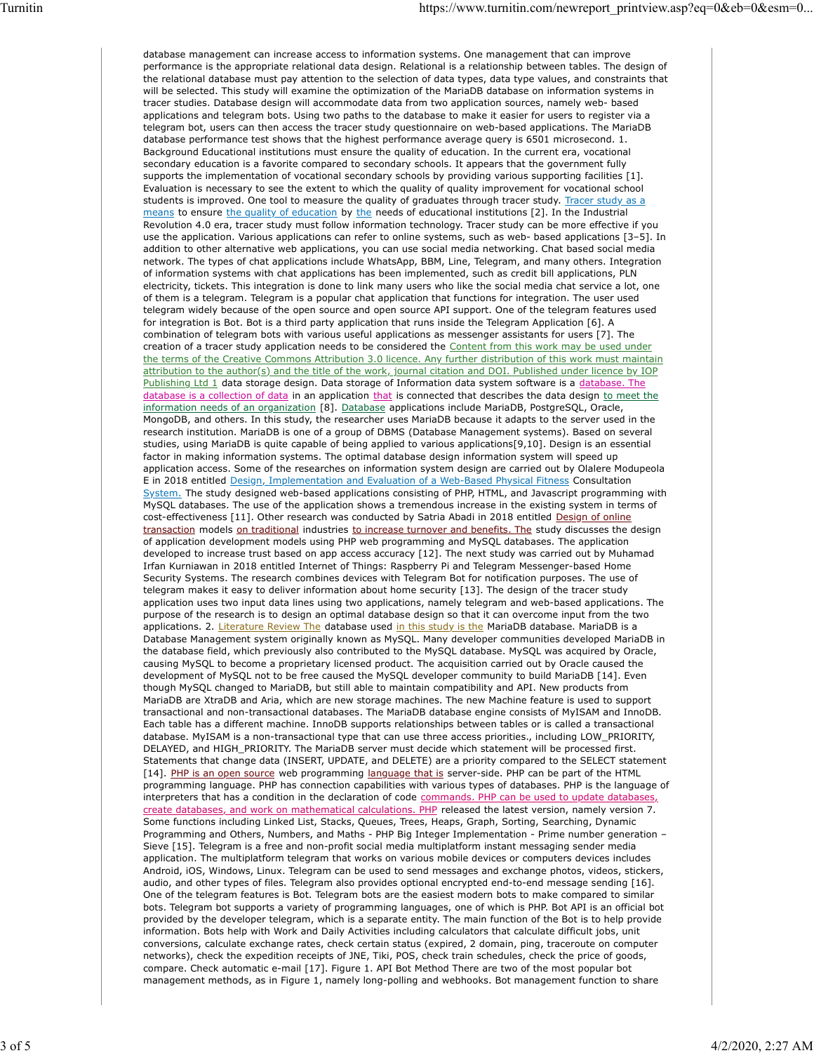database management can increase access to information systems. One management that can improve performance is the appropriate relational data design. Relational is a relationship between tables. The design of the relational database must pay attention to the selection of data types, data type values, and constraints that will be selected. This study will examine the optimization of the MariaDB database on information systems in tracer studies. Database design will accommodate data from two application sources, namely web- based applications and telegram bots. Using two paths to the database to make it easier for users to register via a telegram bot, users can then access the tracer study questionnaire on web-based applications. The MariaDB database performance test shows that the highest performance average query is 6501 microsecond. 1. Background Educational institutions must ensure the quality of education. In the current era, vocational secondary education is a favorite compared to secondary schools. It appears that the government fully supports the implementation of vocational secondary schools by providing various supporting facilities [1]. Evaluation is necessary to see the extent to which the quality of quality improvement for vocational school students is improved. One tool to measure the quality of graduates through tracer study. Tracer study as a means to ensure the quality of education by the needs of educational institutions [2]. In the Industrial Revolution 4.0 era, tracer study must follow information technology. Tracer study can be more effective if you use the application. Various applications can refer to online systems, such as web- based applications [3–5]. In addition to other alternative web applications, you can use social media networking. Chat based social media network. The types of chat applications include WhatsApp, BBM, Line, Telegram, and many others. Integration of information systems with chat applications has been implemented, such as credit bill applications, PLN electricity, tickets. This integration is done to link many users who like the social media chat service a lot, one of them is a telegram. Telegram is a popular chat application that functions for integration. The user used telegram widely because of the open source and open source API support. One of the telegram features used for integration is Bot. Bot is a third party application that runs inside the Telegram Application [6]. A combination of telegram bots with various useful applications as messenger assistants for users [7]. The creation of a tracer study application needs to be considered the Content from this work may be used under the terms of the Creative Commons Attribution 3.0 licence. Any further distribution of this work must maintain attribution to the author(s) and the title of the work, journal citation and DOI. Published under licence by IOP Publishing Ltd 1 data storage design. Data storage of Information data system software is a database. The database is a collection of data in an application that is connected that describes the data design to meet the information needs of an organization [8]. Database applications include MariaDB, PostgreSQL, Oracle, MongoDB, and others. In this study, the researcher uses MariaDB because it adapts to the server used in the research institution. MariaDB is one of a group of DBMS (Database Management systems). Based on several studies, using MariaDB is quite capable of being applied to various applications[9,10]. Design is an essential factor in making information systems. The optimal database design information system will speed up application access. Some of the researches on information system design are carried out by Olalere Modupeola E in 2018 entitled Design, Implementation and Evaluation of a Web-Based Physical Fitness Consultation System. The study designed web-based applications consisting of PHP, HTML, and Javascript programming with MySQL databases. The use of the application shows a tremendous increase in the existing system in terms of cost-effectiveness [11]. Other research was conducted by Satria Abadi in 2018 entitled Design of online transaction models on traditional industries to increase turnover and benefits. The study discusses the design of application development models using PHP web programming and MySQL databases. The application developed to increase trust based on app access accuracy [12]. The next study was carried out by Muhamad Irfan Kurniawan in 2018 entitled Internet of Things: Raspberry Pi and Telegram Messenger-based Home Security Systems. The research combines devices with Telegram Bot for notification purposes. The use of telegram makes it easy to deliver information about home security [13]. The design of the tracer study application uses two input data lines using two applications, namely telegram and web-based applications. The purpose of the research is to design an optimal database design so that it can overcome input from the two applications. 2. Literature Review The database used in this study is the MariaDB database. MariaDB is a Database Management system originally known as MySQL. Many developer communities developed MariaDB in the database field, which previously also contributed to the MySQL database. MySQL was acquired by Oracle, causing MySQL to become a proprietary licensed product. The acquisition carried out by Oracle caused the development of MySQL not to be free caused the MySQL developer community to build MariaDB [14]. Even though MySQL changed to MariaDB, but still able to maintain compatibility and API. New products from MariaDB are XtraDB and Aria, which are new storage machines. The new Machine feature is used to support transactional and non-transactional databases. The MariaDB database engine consists of MyISAM and InnoDB. Each table has a different machine. InnoDB supports relationships between tables or is called a transactional database. MyISAM is a non-transactional type that can use three access priorities., including LOW\_PRIORITY, DELAYED, and HIGH\_PRIORITY. The MariaDB server must decide which statement will be processed first. Statements that change data (INSERT, UPDATE, and DELETE) are a priority compared to the SELECT statement [14]. PHP is an open source web programming language that is server-side. PHP can be part of the HTML programming language. PHP has connection capabilities with various types of databases. PHP is the language of interpreters that has a condition in the declaration of code commands. PHP can be used to update databases, create databases, and work on mathematical calculations. PHP released the latest version, namely version 7. Some functions including Linked List, Stacks, Queues, Trees, Heaps, Graph, Sorting, Searching, Dynamic Programming and Others, Numbers, and Maths - PHP Big Integer Implementation - Prime number generation – Sieve [15]. Telegram is a free and non-profit social media multiplatform instant messaging sender media application. The multiplatform telegram that works on various mobile devices or computers devices includes Android, iOS, Windows, Linux. Telegram can be used to send messages and exchange photos, videos, stickers, audio, and other types of files. Telegram also provides optional encrypted end-to-end message sending [16]. One of the telegram features is Bot. Telegram bots are the easiest modern bots to make compared to similar bots. Telegram bot supports a variety of programming languages, one of which is PHP. Bot API is an official bot provided by the developer telegram, which is a separate entity. The main function of the Bot is to help provide information. Bots help with Work and Daily Activities including calculators that calculate difficult jobs, unit conversions, calculate exchange rates, check certain status (expired, 2 domain, ping, traceroute on computer networks), check the expedition receipts of JNE, Tiki, POS, check train schedules, check the price of goods, compare. Check automatic e-mail [17]. Figure 1. API Bot Method There are two of the most popular bot management methods, as in Figure 1, namely long-polling and webhooks. Bot management function to share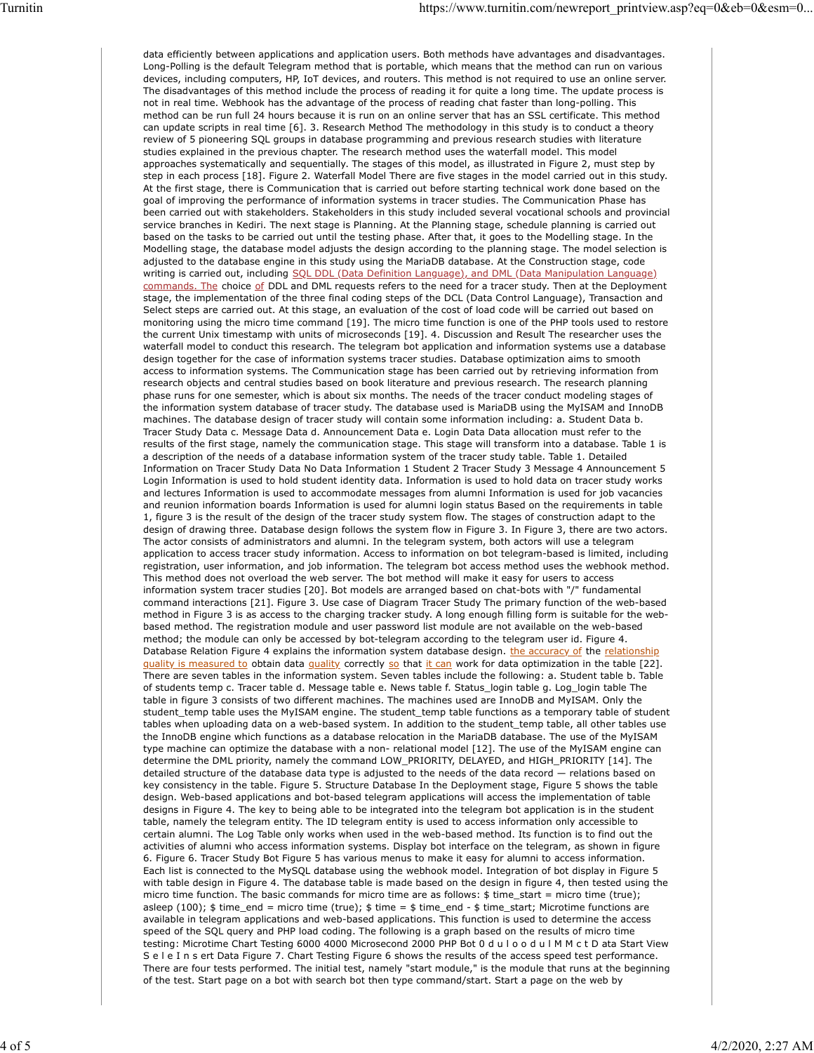data efficiently between applications and application users. Both methods have advantages and disadvantages. Long-Polling is the default Telegram method that is portable, which means that the method can run on various devices, including computers, HP, IoT devices, and routers. This method is not required to use an online server. The disadvantages of this method include the process of reading it for quite a long time. The update process is not in real time. Webhook has the advantage of the process of reading chat faster than long-polling. This method can be run full 24 hours because it is run on an online server that has an SSL certificate. This method can update scripts in real time [6]. 3. Research Method The methodology in this study is to conduct a theory review of 5 pioneering SQL groups in database programming and previous research studies with literature studies explained in the previous chapter. The research method uses the waterfall model. This model approaches systematically and sequentially. The stages of this model, as illustrated in Figure 2, must step by step in each process [18]. Figure 2. Waterfall Model There are five stages in the model carried out in this study. At the first stage, there is Communication that is carried out before starting technical work done based on the goal of improving the performance of information systems in tracer studies. The Communication Phase has been carried out with stakeholders. Stakeholders in this study included several vocational schools and provincial service branches in Kediri. The next stage is Planning. At the Planning stage, schedule planning is carried out based on the tasks to be carried out until the testing phase. After that, it goes to the Modelling stage. In the Modelling stage, the database model adjusts the design according to the planning stage. The model selection is adjusted to the database engine in this study using the MariaDB database. At the Construction stage, code writing is carried out, including SQL DDL (Data Definition Language), and DML (Data Manipulation Language) commands. The choice of DDL and DML requests refers to the need for a tracer study. Then at the Deployment stage, the implementation of the three final coding steps of the DCL (Data Control Language), Transaction and Select steps are carried out. At this stage, an evaluation of the cost of load code will be carried out based on monitoring using the micro time command [19]. The micro time function is one of the PHP tools used to restore the current Unix timestamp with units of microseconds [19]. 4. Discussion and Result The researcher uses the waterfall model to conduct this research. The telegram bot application and information systems use a database design together for the case of information systems tracer studies. Database optimization aims to smooth access to information systems. The Communication stage has been carried out by retrieving information from research objects and central studies based on book literature and previous research. The research planning phase runs for one semester, which is about six months. The needs of the tracer conduct modeling stages of the information system database of tracer study. The database used is MariaDB using the MyISAM and InnoDB machines. The database design of tracer study will contain some information including: a. Student Data b. Tracer Study Data c. Message Data d. Announcement Data e. Login Data Data allocation must refer to the results of the first stage, namely the communication stage. This stage will transform into a database. Table 1 is a description of the needs of a database information system of the tracer study table. Table 1. Detailed Information on Tracer Study Data No Data Information 1 Student 2 Tracer Study 3 Message 4 Announcement 5 Login Information is used to hold student identity data. Information is used to hold data on tracer study works and lectures Information is used to accommodate messages from alumni Information is used for job vacancies and reunion information boards Information is used for alumni login status Based on the requirements in table 1, figure 3 is the result of the design of the tracer study system flow. The stages of construction adapt to the design of drawing three. Database design follows the system flow in Figure 3. In Figure 3, there are two actors. The actor consists of administrators and alumni. In the telegram system, both actors will use a telegram application to access tracer study information. Access to information on bot telegram-based is limited, including registration, user information, and job information. The telegram bot access method uses the webhook method. This method does not overload the web server. The bot method will make it easy for users to access information system tracer studies [20]. Bot models are arranged based on chat-bots with "/" fundamental command interactions [21]. Figure 3. Use case of Diagram Tracer Study The primary function of the web-based method in Figure 3 is as access to the charging tracker study. A long enough filling form is suitable for the webbased method. The registration module and user password list module are not available on the web-based method; the module can only be accessed by bot-telegram according to the telegram user id. Figure 4. Database Relation Figure 4 explains the information system database design. the accuracy of the relationship quality is measured to obtain data quality correctly so that it can work for data optimization in the table [22]. There are seven tables in the information system. Seven tables include the following: a. Student table b. Table of students temp c. Tracer table d. Message table e. News table f. Status\_login table g. Log\_login table The table in figure 3 consists of two different machines. The machines used are InnoDB and MyISAM. Only the student\_temp table uses the MyISAM engine. The student\_temp table functions as a temporary table of student tables when uploading data on a web-based system. In addition to the student\_temp table, all other tables use the InnoDB engine which functions as a database relocation in the MariaDB database. The use of the MyISAM type machine can optimize the database with a non- relational model [12]. The use of the MyISAM engine can determine the DML priority, namely the command LOW\_PRIORITY, DELAYED, and HIGH\_PRIORITY [14]. The detailed structure of the database data type is adjusted to the needs of the data record — relations based on key consistency in the table. Figure 5. Structure Database In the Deployment stage, Figure 5 shows the table design. Web-based applications and bot-based telegram applications will access the implementation of table designs in Figure 4. The key to being able to be integrated into the telegram bot application is in the student table, namely the telegram entity. The ID telegram entity is used to access information only accessible to certain alumni. The Log Table only works when used in the web-based method. Its function is to find out the activities of alumni who access information systems. Display bot interface on the telegram, as shown in figure 6. Figure 6. Tracer Study Bot Figure 5 has various menus to make it easy for alumni to access information. Each list is connected to the MySQL database using the webhook model. Integration of bot display in Figure 5 with table design in Figure 4. The database table is made based on the design in figure 4, then tested using the micro time function. The basic commands for micro time are as follows: \$ time\_start = micro time (true); asleep (100); \$ time\_end = micro time (true); \$ time = \$ time\_end - \$ time\_start; Microtime functions are available in telegram applications and web-based applications. This function is used to determine the access speed of the SQL query and PHP load coding. The following is a graph based on the results of micro time testing: Microtime Chart Testing 6000 4000 Microsecond 2000 PHP Bot 0 d u l o o d u l M M c t D ata Start View S e l e I n s ert Data Figure 7. Chart Testing Figure 6 shows the results of the access speed test performance. There are four tests performed. The initial test, namely "start module," is the module that runs at the beginning of the test. Start page on a bot with search bot then type command/start. Start a page on the web by